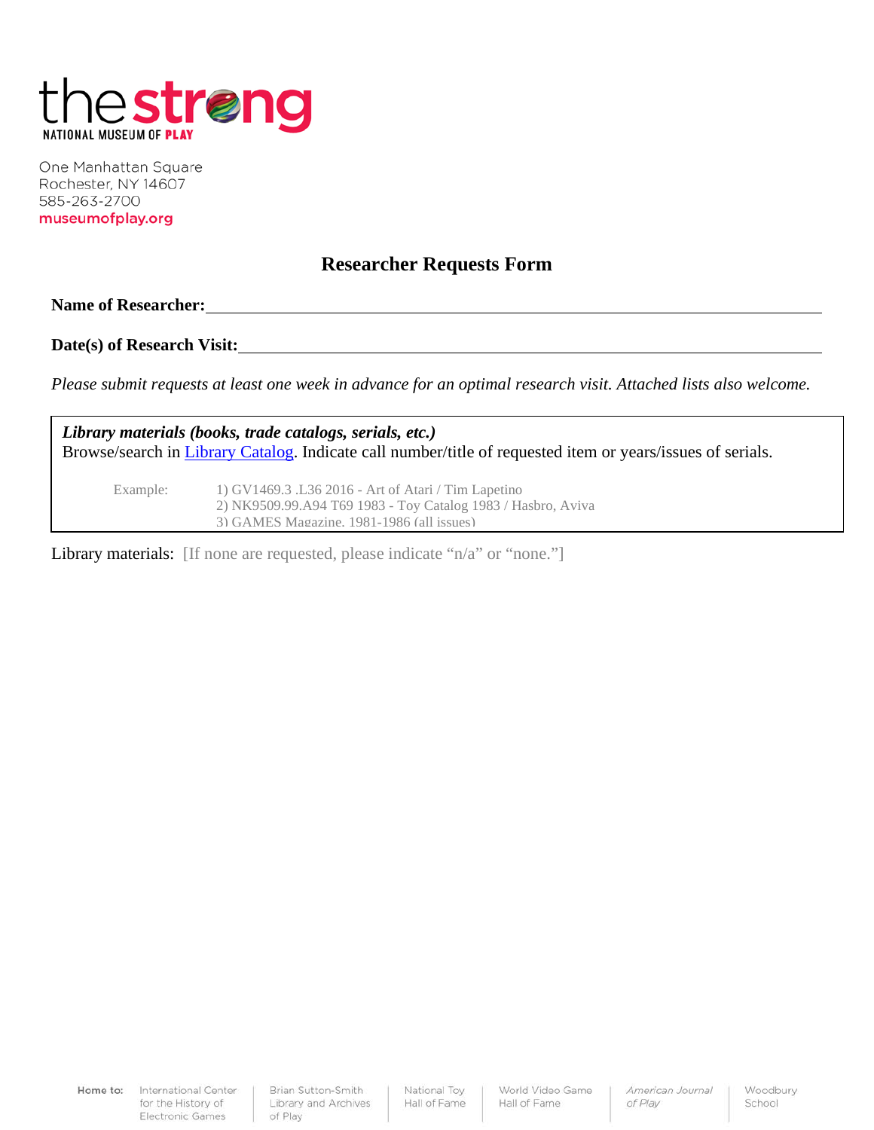

One Manhattan Square Rochester, NY 14607 585-263-2700 museumofplay.org

## **Researcher Requests Form**

**Name of Researcher:**

**Date(s) of Research Visit:**

*Please submit requests at least one week in advance for an optimal research visit. Attached lists also welcome.* 

*Library materials (books, trade catalogs, serials, etc.)* Browse/search in *Library Catalog*. Indicate call number/title of requested item or years/issues of serials.

Example: 1) GV1469.3 .L36 2016 - Art of Atari / Tim Lapetino 2) NK9509.99.A94 T69 1983 - Toy Catalog 1983 / Hasbro, Aviva 3) GAMES Magazine, 1981-1986 (all issues)

Library materials: [If none are requested, please indicate "n/a" or "none."]

Home to: International Center for the History of Electronic Games

Brian Sutton-Smith Library and Archives of Play

National Toy Hall of Fame World Video Game Hall of Fame

American Journal of Play

Woodbury School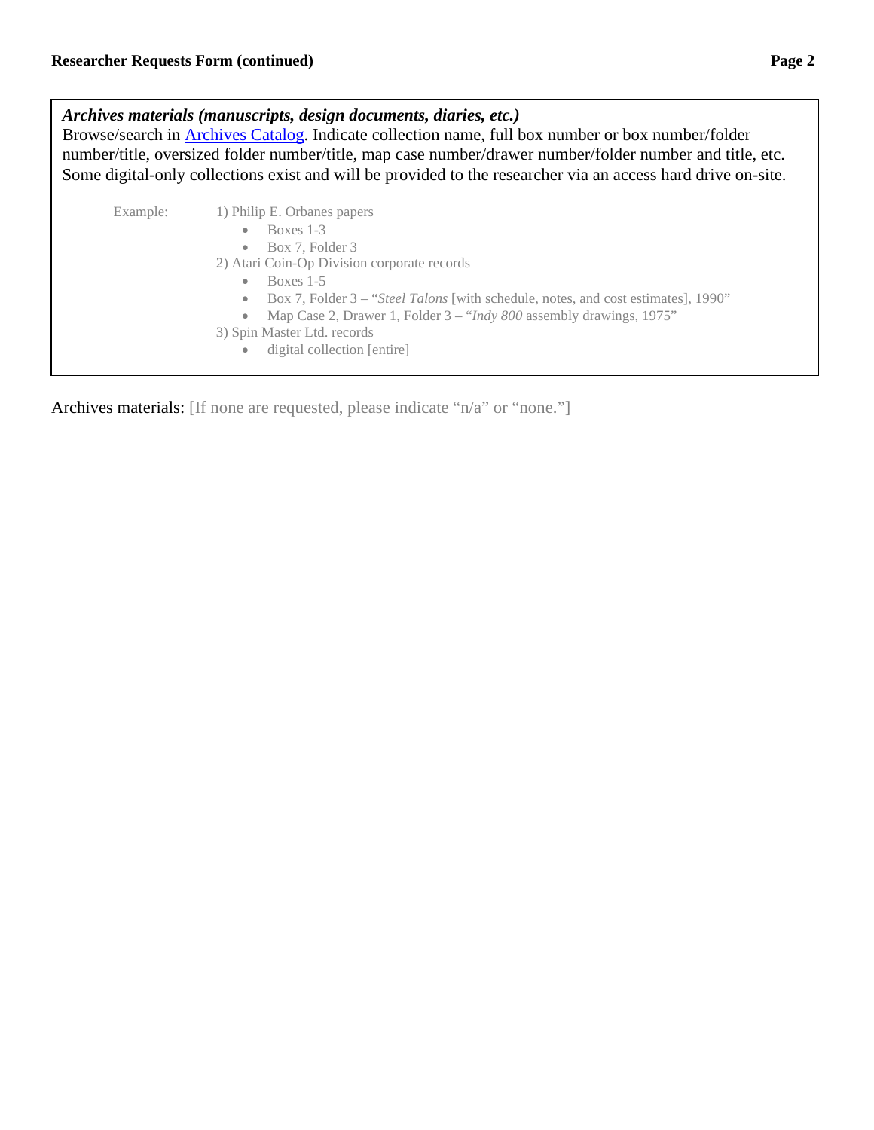*Archives materials (manuscripts, design documents, diaries, etc.)* Browse/search in [Archives Catalog.](http://archives.museumofplay.org/) Indicate collection name, full box number or box number/folder number/title, oversized folder number/title, map case number/drawer number/folder number and title, etc. Some digital-only collections exist and will be provided to the researcher via an access hard drive on-site. Example: 1) Philip E. Orbanes papers • Boxes 1-3 • Box 7, Folder 3 2) Atari Coin-Op Division corporate records • Boxes 1-5 • Box 7, Folder 3 – "*Steel Talons* [with schedule, notes, and cost estimates], 1990" • Map Case 2, Drawer 1, Folder 3 – "*Indy 800* assembly drawings, 1975" 3) Spin Master Ltd. records • digital collection [entire]

Archives materials: [If none are requested, please indicate "n/a" or "none."]